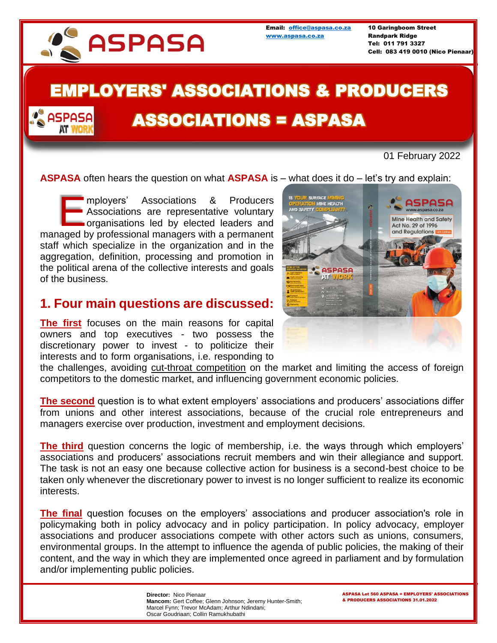

**ASPASA** 

[www.aspasa.co.za](http://www.aspasa.co.za/) Randpark Ridge

Email: [office@aspasa.co.za](mailto:office@aspasa.co.za) 10 Garingboom Street Tel: 011 791 3327 Cell: 083 419 0010 (Nico Pienaar)

## EMPLOYERS' ASSOCIATIONS & PRODUCERS

# ASSOCIATIONS = ASPASA

#### 01 February 2022

**ASPASA** often hears the question on what **ASPASA** is – what does it do – let's try and explain:

mployers' Associations & Producers Associations are representative voluntary organisations led by elected leaders and mployers' Associations & Producers<br>Associations are representative voluntary<br>organisations led by elected leaders and<br>managed by professional managers with a permanent staff which specialize in the organization and in the aggregation, definition, processing and promotion in the political arena of the collective interests and goals of the business.

### **1. Four main questions are discussed:**

**The first** focuses on the main reasons for capital owners and top executives - two possess the discretionary power to invest - to politicize their interests and to form organisations, i.e. responding to



the challenges, avoiding cut-throat competition on the market and limiting the access of foreign competitors to the domestic market, and influencing government economic policies.

**The second** question is to what extent employers' associations and producers' associations differ from unions and other interest associations, because of the crucial role entrepreneurs and managers exercise over production, investment and employment decisions.

**The third** question concerns the logic of membership, i.e. the ways through which employers' associations and producers' associations recruit members and win their allegiance and support. The task is not an easy one because collective action for business is a second-best choice to be taken only whenever the discretionary power to invest is no longer sufficient to realize its economic interests.

**The final** question focuses on the employers' associations and producer association's role in policymaking both in policy advocacy and in policy participation. In policy advocacy, employer associations and producer associations compete with other actors such as unions, consumers, environmental groups. In the attempt to influence the agenda of public policies, the making of their content, and the way in which they are implemented once agreed in parliament and by formulation and/or implementing public policies.

> **Director:** Nico Pienaar **Mancom:** Gert Coffee; Glenn Johnson; Jeremy Hunter-Smith; Marcel Fynn; Trevor McAdam; Arthur Ndindani; Oscar Goudriaan; Collin Ramukhubathi

ASPASA Let 560 ASPASA = EMPLOYERS' ASSOCIATIONS & PRODUCERS ASSOCIATIONS 31.01.2022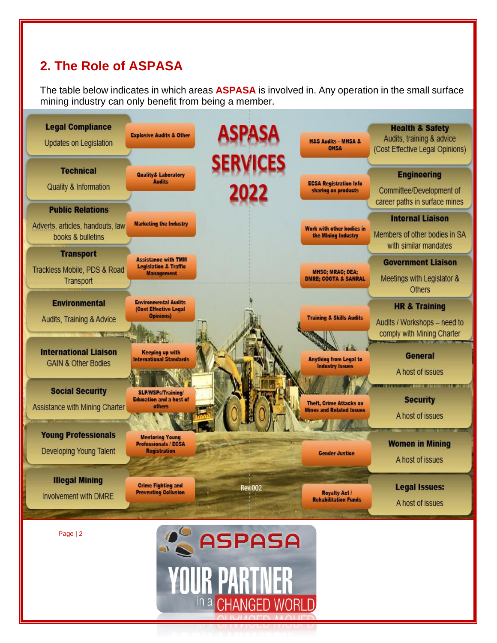## **2. The Role of ASPASA**

The table below indicates in which areas **ASPASA** is involved in. Any operation in the small surface mining industry can only benefit from being a member.



in a